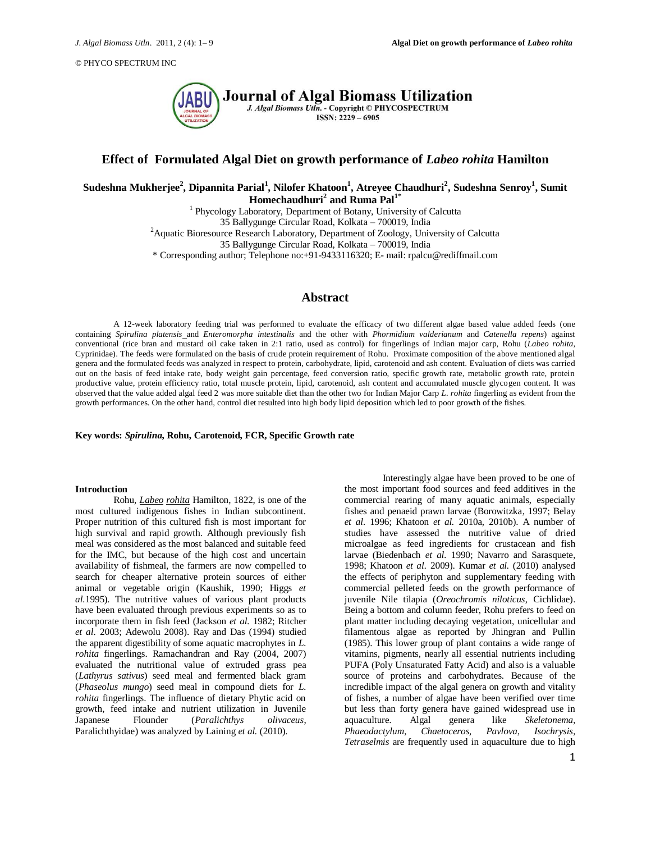

# **Effect of Formulated Algal Diet on growth performance of** *Labeo rohita* **Hamilton**

**Sudeshna Mukherjee<sup>2</sup> , Dipannita Parial<sup>1</sup> , Nilofer Khatoon<sup>1</sup> , Atreyee Chaudhuri<sup>2</sup> , Sudeshna Senroy<sup>1</sup> , Sumit Homechaudhuri<sup>2</sup> and Ruma Pal1\***

<sup>1</sup> Phycology Laboratory, Department of Botany, University of Calcutta 35 Ballygunge Circular Road, Kolkata – 700019, India <sup>2</sup> Aquatic Bioresource Research Laboratory, Department of Zoology, University of Calcutta 35 Ballygunge Circular Road, Kolkata – 700019, India \* Corresponding author; Telephone no:+91-9433116320; E- mail: rpalcu@rediffmail.com

# **Abstract**

A 12-week laboratory feeding trial was performed to evaluate the efficacy of two different algae based value added feeds (one containing *Spirulina platensis* and *Enteromorpha intestinalis* and the other with *Phormidium valderianum* and *Catenella repens*) against conventional (rice bran and mustard oil cake taken in 2:1 ratio, used as control) for fingerlings of Indian major carp, Rohu (*Labeo rohita*, Cyprinidae). The feeds were formulated on the basis of crude protein requirement of Rohu*.* Proximate composition of the above mentioned algal genera and the formulated feeds was analyzed in respect to protein, carbohydrate, lipid, carotenoid and ash content. Evaluation of diets was carried out on the basis of feed intake rate, body weight gain percentage, feed conversion ratio, specific growth rate, metabolic growth rate, protein productive value, protein efficiency ratio, total muscle protein, lipid, carotenoid, ash content and accumulated muscle glycogen content. It was observed that the value added algal feed 2 was more suitable diet than the other two for Indian Major Carp *L. rohita* fingerling as evident from the growth performances. On the other hand, control diet resulted into high body lipid deposition which led to poor growth of the fishes.

**Key words:** *Spirulina***, Rohu, Carotenoid, FCR, Specific Growth rate**

### **Introduction**

Rohu, *Labeo rohita* Hamilton, 1822, is one of the most cultured indigenous fishes in Indian subcontinent. Proper nutrition of this cultured fish is most important for high survival and rapid growth. Although previously fish meal was considered as the most balanced and suitable feed for the IMC, but because of the high cost and uncertain availability of fishmeal, the farmers are now compelled to search for cheaper alternative protein sources of either animal or vegetable origin (Kaushik, 1990; Higgs *et al.*1995). The nutritive values of various plant products have been evaluated through previous experiments so as to incorporate them in fish feed (Jackson *et al.* 1982; Ritcher *et al.* 2003; Adewolu 2008). Ray and Das (1994) studied the apparent digestibility of some aquatic macrophytes in *L. rohita* fingerlings. Ramachandran and Ray (2004, 2007) evaluated the nutritional value of extruded grass pea (*Lathyrus sativus*) seed meal and fermented black gram (*Phaseolus mungo*) seed meal in compound diets for *L. rohita* fingerlings. The influence of dietary Phytic acid on growth, feed intake and nutrient utilization in Juvenile Japanese Flounder (*Paralichthys olivaceus*, [Paralichthyidae\)](http://fr.wikipedia.org/wiki/Paralichthyidae) was analyzed by Laining *et al.* (2010).

Interestingly algae have been proved to be one of the most important food sources and feed additives in the commercial rearing of many aquatic animals, especially fishes and penaeid prawn larvae (Borowitzka, 1997; Belay *et al.* 1996; Khatoon *et al.* 2010a, 2010b). A number of studies have assessed the nutritive value of dried microalgae as feed ingredients for crustacean and fish larvae (Biedenbach *et al.* 1990; Navarro and Sarasquete, 1998; Khatoon *et al.* 2009). Kumar *et al.* (2010) analysed the effects of periphyton and supplementary feeding with commercial pelleted feeds on the growth performance of juvenile Nile tilapia (*Oreochromis niloticus*, Cichlidae). Being a bottom and column feeder, Rohu prefers to feed on plant matter including decaying vegetation, unicellular and filamentous algae as reported by Jhingran and Pullin (1985). This lower group of plant contains a wide range of vitamins, pigments, nearly all essential nutrients including PUFA (Poly Unsaturated Fatty Acid) and also is a valuable source of proteins and carbohydrates. Because of the incredible impact of the algal genera on growth and vitality of fishes, a number of algae have been verified over time but less than forty genera have gained widespread use in aquaculture. Algal genera like *Skeletonema*, *Phaeodactylum*, *Chaetoceros*, *Pavlova*, *Isochrysis*, *Tetraselmis* are frequently used in aquaculture due to high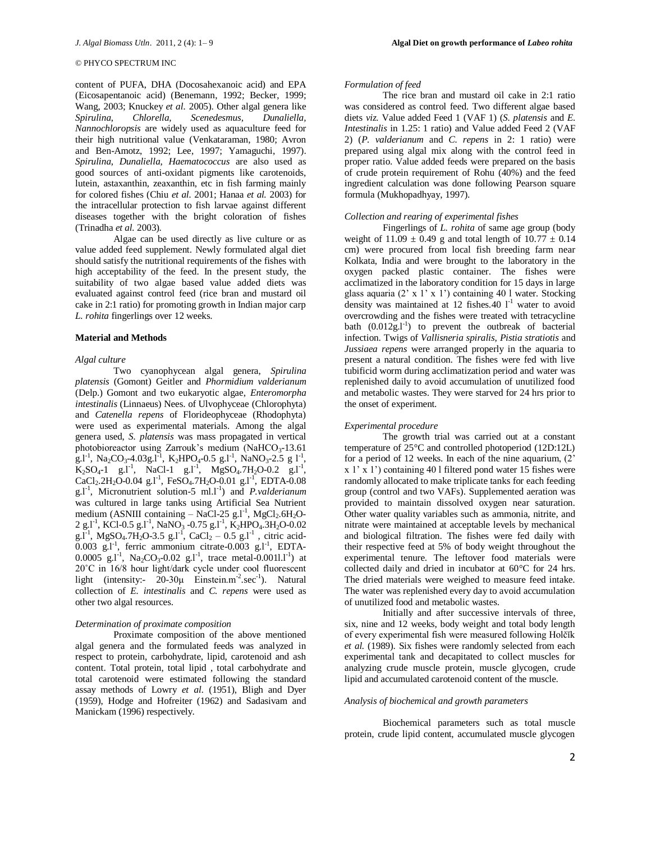content of PUFA, DHA (Docosahexanoic acid) and EPA (Eicosapentanoic acid) (Benemann, 1992; Becker, 1999; Wang, 2003; Knuckey *et al.* 2005). Other algal genera like *Spirulina*, *Chlorella, Scenedesmus, Dunaliella, Nannochloropsis* are widely used as aquaculture feed for their high nutritional value (Venkataraman, 1980; Avron and Ben-Amotz, 1992; Lee, 1997; Yamaguchi, 1997). *Spirulina*, *Dunaliella*, *Haematococcus* are also used as good sources of anti-oxidant pigments like carotenoids, lutein, astaxanthin, zeaxanthin, etc in fish farming mainly for colored fishes (Chiu *et al.* 2001; Hanaa *et al.* 2003) for the intracellular protection to fish larvae against different diseases together with the bright coloration of fishes (Trinadha *et al.* 2003).

Algae can be used directly as live culture or as value added feed supplement. Newly formulated algal diet should satisfy the nutritional requirements of the fishes with high acceptability of the feed. In the present study, the suitability of two algae based value added diets was evaluated against control feed (rice bran and mustard oil cake in 2:1 ratio) for promoting growth in Indian major carp *L. rohita* fingerlings over 12 weeks.

## **Material and Methods**

#### *Algal culture*

Two cyanophycean algal genera, *Spirulina platensis* (Gomont) Geitler and *Phormidium valderianum* (Delp.) Gomont and two eukaryotic algae, *Enteromorpha intestinalis* (Linnaeus) Nees. of Ulvophyceae (Chlorophyta) and *Catenella repens* of Florideophyceae (Rhodophyta) were used as experimental materials. Among the algal genera used, *S. platensis* was mass propagated in vertical photobioreactor using Zarrouk's medium (NaHCO<sub>3</sub>-13.61 g.l<sup>-1</sup>, Na<sub>2</sub>CO<sub>3</sub>-4.03g.l<sup>-1</sup>, K<sub>2</sub>HPO<sub>4</sub>-0.5 g.l<sup>-1</sup>, NaNO<sub>3</sub>-2.5 g l<sup>-1</sup>,  $K_2SO_4$ -1 g.l<sup>-1</sup>, NaCl-1 g.l<sup>-1</sup>, MgSO<sub>4</sub>.7H<sub>2</sub>O-0.2 g.l<sup>-1</sup>,  $CaCl<sub>2</sub>.2H<sub>2</sub>O-0.04 g.l<sup>-1</sup>, FeSO<sub>4</sub>.7H<sub>2</sub>O-0.01 g.l<sup>-1</sup>, EDTA-0.08$ g.l<sup>-1</sup>, Micronutrient solution-5 ml.l<sup>-1</sup>) and *P.valderianum* was cultured in large tanks using Artificial Sea Nutrient medium (ASNIII containing  $-$  NaCl-25 g.l<sup>-1</sup>, MgCl<sub>2</sub>.6H<sub>2</sub>O- $2 \text{ g.l}^{-1}$ , KCl-0.5 g.l<sup>-1</sup>, NaNO<sub>3</sub> -0.75 g.l<sup>-1</sup>, K<sub>2</sub>HPO<sub>4</sub>.3H<sub>2</sub>O-0.02  $g.I^{-1}$ , MgSO<sub>4</sub>.7H<sub>2</sub>O-3.5 g.l<sup>-1</sup>, CaCl<sub>2</sub> – 0.5 g.l<sup>-1</sup>, citric acid- $0.003$  g.l<sup>-1</sup>, ferric ammonium citrate-0.003 g.l<sup>-1</sup>, EDTA- $0.0005$  g.l<sup>-1</sup>, Na<sub>2</sub>CO<sub>3</sub>-0.02 g.l<sup>-1</sup>, trace metal-0.0011.l<sup>-1</sup>) at 20˚C in 16/8 hour light/dark cycle under cool fluorescent light (intensity:-  $20-30\mu$  Einstein.m<sup>-2</sup>.sec<sup>-1</sup>). Natural collection of *E. intestinalis* and *C. repens* were used as other two algal resources.

#### *Determination of proximate composition*

Proximate composition of the above mentioned algal genera and the formulated feeds was analyzed in respect to protein, carbohydrate, lipid, carotenoid and ash content. Total protein, total lipid , total carbohydrate and total carotenoid were estimated following the standard assay methods of Lowry *et al.* (1951), Bligh and Dyer (1959), Hodge and Hofreiter (1962) and Sadasivam and Manickam (1996) respectively.

### *Formulation of feed*

The rice bran and mustard oil cake in 2:1 ratio was considered as control feed. Two different algae based diets *viz.* Value added Feed 1 (VAF 1) (*S. platensis* and *E. Intestinalis* in 1.25: 1 ratio) and Value added Feed 2 (VAF 2) (*P. valderianum* and *C. repens* in 2: 1 ratio) were prepared using algal mix along with the control feed in proper ratio. Value added feeds were prepared on the basis of crude protein requirement of Rohu  $(40%)$  and the feed ingredient calculation was done following Pearson square formula (Mukhopadhyay, 1997).

## *Collection and rearing of experimental fishes*

Fingerlings of *L. rohita* of same age group (body weight of  $11.09 \pm 0.49$  g and total length of  $10.77 \pm 0.14$ cm) were procured from local fish breeding farm near Kolkata, India and were brought to the laboratory in the oxygen packed plastic container. The fishes were acclimatized in the laboratory condition for 15 days in large glass aquaria (2' x 1' x 1') containing 40 l water. Stocking density was maintained at 12 fishes. 40  $1^{-1}$  water to avoid overcrowding and the fishes were treated with tetracycline bath  $(0.012g, l<sup>-1</sup>)$  to prevent the outbreak of bacterial infection. Twigs of *Vallisneria spiralis*, *Pistia stratiotis* and *Jussiaea repens* were arranged properly in the aquaria to present a natural condition. The fishes were fed with live tubificid worm during acclimatization period and water was replenished daily to avoid accumulation of unutilized food and metabolic wastes. They were starved for 24 hrs prior to the onset of experiment.

### *Experimental procedure*

The growth trial was carried out at a constant temperature of 25°C and controlled photoperiod (12D:12L) for a period of 12 weeks. In each of the nine aquarium, (2'  $x 1'$  x 1') containing 40 l filtered pond water 15 fishes were randomly allocated to make triplicate tanks for each feeding group (control and two VAFs). Supplemented aeration was provided to maintain dissolved oxygen near saturation. Other water quality variables such as ammonia, nitrite, and nitrate were maintained at acceptable levels by mechanical and biological filtration. The fishes were fed daily with their respective feed at 5% of body weight throughout the experimental tenure. The leftover food materials were collected daily and dried in incubator at 60°C for 24 hrs. The dried materials were weighed to measure feed intake. The water was replenished every day to avoid accumulation of unutilized food and metabolic wastes.

Initially and after successive intervals of three, six, nine and 12 weeks, body weight and total body length of every experimental fish were measured following Holčĭk *et al.* (1989). Six fishes were randomly selected from each experimental tank and decapitated to collect muscles for analyzing crude muscle protein, muscle glycogen, crude lipid and accumulated carotenoid content of the muscle.

### *Analysis of biochemical and growth parameters*

Biochemical parameters such as total muscle protein, crude lipid content, accumulated muscle glycogen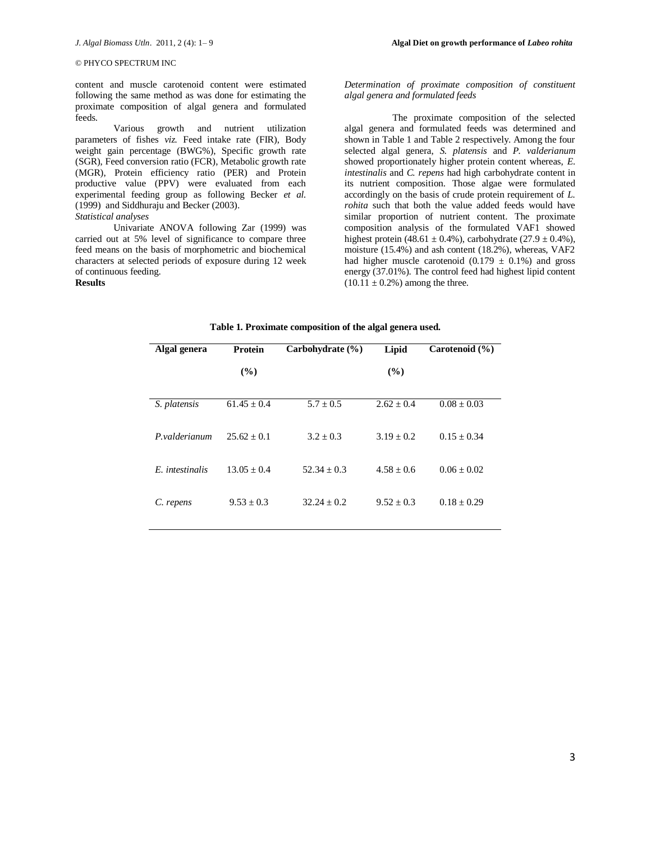content and muscle carotenoid content were estimated following the same method as was done for estimating the proximate composition of algal genera and formulated feeds.

Various growth and nutrient utilization parameters of fishes *viz.* Feed intake rate (FIR), Body weight gain percentage (BWG%), Specific growth rate (SGR), Feed conversion ratio (FCR), Metabolic growth rate (MGR), Protein efficiency ratio (PER) and Protein productive value (PPV) were evaluated from each experimental feeding group as following Becker *et al.* (1999) and Siddhuraju and Becker (2003).

## *Statistical analyses*

Univariate ANOVA following Zar (1999) was carried out at 5% level of significance to compare three feed means on the basis of morphometric and biochemical characters at selected periods of exposure during 12 week of continuous feeding. **Results**

## *Determination of proximate composition of constituent algal genera and formulated feeds*

The proximate composition of the selected algal genera and formulated feeds was determined and shown in Table 1 and Table 2 respectively. Among the four selected algal genera, *S. platensis* and *P. valderianum* showed proportionately higher protein content whereas, *E. intestinalis* and *C. repens* had high carbohydrate content in its nutrient composition. Those algae were formulated accordingly on the basis of crude protein requirement of *L. rohita* such that both the value added feeds would have similar proportion of nutrient content. The proximate composition analysis of the formulated VAF1 showed highest protein (48.61  $\pm$  0.4%), carbohydrate (27.9  $\pm$  0.4%), moisture (15.4%) and ash content (18.2%), whereas, VAF2 had higher muscle carotenoid  $(0.179 \pm 0.1\%)$  and gross energy (37.01%). The control feed had highest lipid content  $(10.11 \pm 0.2\%)$  among the three.

| Algal genera    | Protein       | Carbohydrate (%) | Lipid          | Carotenoid $(\% )$ |
|-----------------|---------------|------------------|----------------|--------------------|
|                 | $($ %)        |                  | (%)            |                    |
| S. platensis    | $61.45 + 0.4$ | $5.7 \pm 0.5$    | $2.62 + 0.4$   | $0.08 \pm 0.03$    |
| P. valderianum  | $25.62 + 0.1$ | $3.2 + 0.3$      | $3.19 + 0.2$   | $0.15 + 0.34$      |
| E. intestinalis | $13.05 + 0.4$ | $52.34 + 0.3$    | $4.58 + 0.6$   | $0.06 \pm 0.02$    |
| C. repens       | $9.53 + 0.3$  | $32.24 + 0.2$    | $9.52 \pm 0.3$ | $0.18 \pm 0.29$    |

### **Table 1. Proximate composition of the algal genera used.**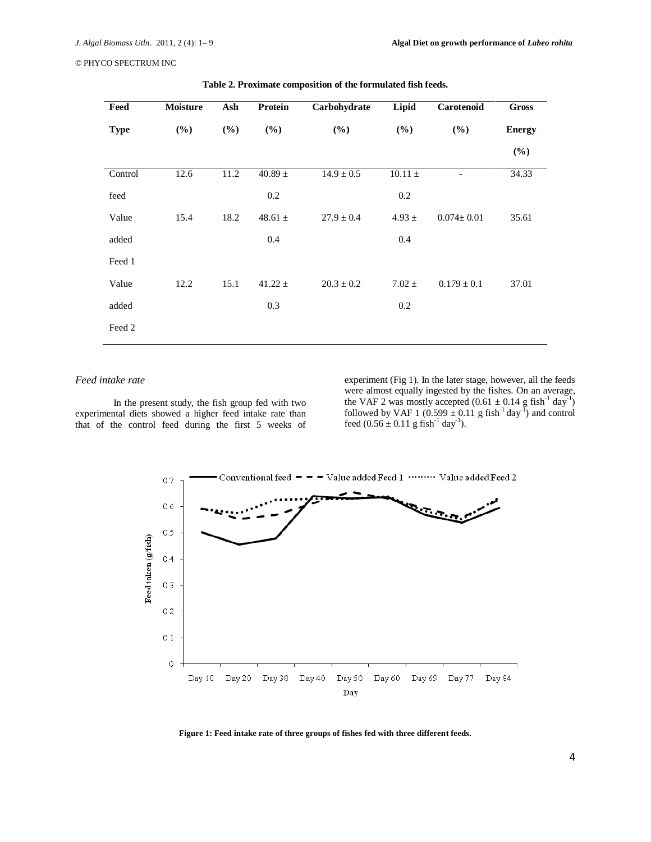| Feed        | Moisture | Ash    | Protein     | Carbohydrate   | Lipid       | Carotenoid       | <b>Gross</b>  |
|-------------|----------|--------|-------------|----------------|-------------|------------------|---------------|
| <b>Type</b> | (%)      | $(\%)$ | (%)         | (%)            | (%)         | $(\%)$           | <b>Energy</b> |
|             |          |        |             |                |             |                  | (%)           |
| Control     | 12.6     | 11.2   | 40.89 $\pm$ | $14.9 \pm 0.5$ | $10.11 \pm$ |                  | 34.33         |
| feed        |          |        | 0.2         |                | 0.2         |                  |               |
| Value       | 15.4     | 18.2   | 48.61 $\pm$ | $27.9 \pm 0.4$ | $4.93 \pm$  | $0.074 \pm 0.01$ | 35.61         |
| added       |          |        | 0.4         |                | 0.4         |                  |               |
| Feed 1      |          |        |             |                |             |                  |               |
| Value       | 12.2     | 15.1   | 41.22 $\pm$ | $20.3 \pm 0.2$ | $7.02 \pm$  | $0.179 \pm 0.1$  | 37.01         |
| added       |          |        | 0.3         |                | 0.2         |                  |               |
| Feed 2      |          |        |             |                |             |                  |               |

**Table 2. Proximate composition of the formulated fish feeds.**

# *Feed intake rate*

In the present study, the fish group fed with two experimental diets showed a higher feed intake rate than that of the control feed during the first 5 weeks of experiment (Fig 1). In the later stage, however, all the feeds were almost equally ingested by the fishes. On an average, the VAF 2 was mostly accepted  $(0.61 \pm 0.14 \text{ g fish}^{-1} \text{ day}^{-1})$ followed by VAF 1 (0.599  $\pm$  0.11 g fish<sup>-1</sup> day<sup>-1</sup>) and control feed  $(0.56 \pm 0.11 \text{ g fish}^{-1} \text{ day}^{-1})$ .



**Figure 1: Feed intake rate of three groups of fishes fed with three different feeds.**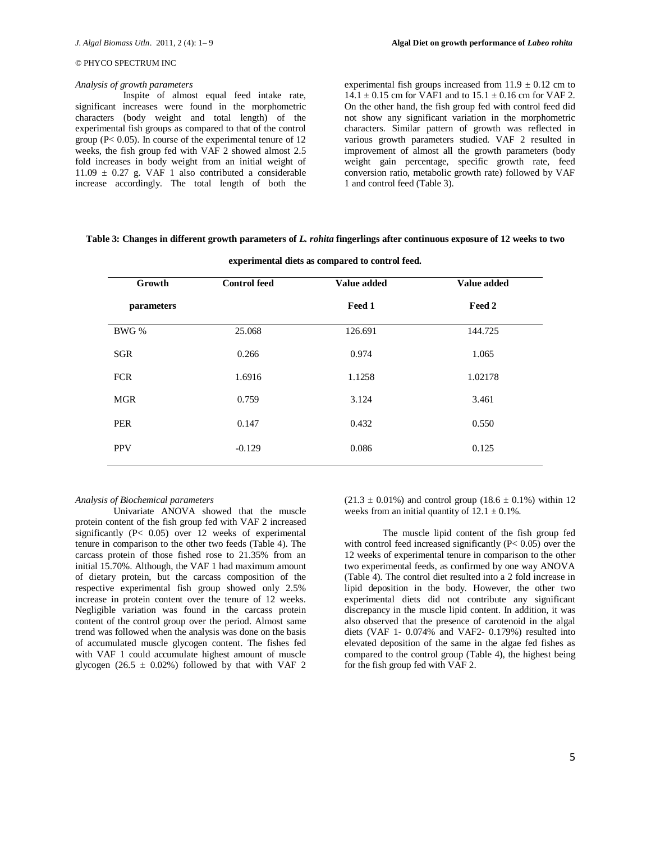### *Analysis of growth parameters*

Inspite of almost equal feed intake rate, significant increases were found in the morphometric characters (body weight and total length) of the experimental fish groups as compared to that of the control group (P< 0.05). In course of the experimental tenure of 12 weeks, the fish group fed with VAF 2 showed almost 2.5 fold increases in body weight from an initial weight of  $11.09 \pm 0.27$  g. VAF 1 also contributed a considerable increase accordingly. The total length of both the experimental fish groups increased from  $11.9 \pm 0.12$  cm to  $14.1 \pm 0.15$  cm for VAF1 and to  $15.1 \pm 0.16$  cm for VAF 2. On the other hand, the fish group fed with control feed did not show any significant variation in the morphometric characters. Similar pattern of growth was reflected in various growth parameters studied. VAF 2 resulted in improvement of almost all the growth parameters (body weight gain percentage, specific growth rate, feed conversion ratio, metabolic growth rate) followed by VAF 1 and control feed (Table 3).

## **Table 3: Changes in different growth parameters of** *L. rohita* **fingerlings after continuous exposure of 12 weeks to two**

| Growth     | <b>Control feed</b> | Value added | <b>Value added</b> |  |
|------------|---------------------|-------------|--------------------|--|
| parameters |                     | Feed 1      | Feed 2             |  |
| BWG %      | 25.068              | 126.691     | 144.725            |  |
| <b>SGR</b> | 0.266               | 0.974       | 1.065              |  |
| <b>FCR</b> | 1.6916              | 1.1258      | 1.02178            |  |
| <b>MGR</b> | 0.759               | 3.124       | 3.461              |  |
| <b>PER</b> | 0.147               | 0.432       | 0.550              |  |
| <b>PPV</b> | $-0.129$            | 0.086       | 0.125              |  |

**experimental diets as compared to control feed.**

### *Analysis of Biochemical parameters*

Univariate ANOVA showed that the muscle protein content of the fish group fed with VAF 2 increased significantly (P< 0.05) over 12 weeks of experimental tenure in comparison to the other two feeds (Table 4). The carcass protein of those fished rose to 21.35% from an initial 15.70%. Although, the VAF 1 had maximum amount of dietary protein, but the carcass composition of the respective experimental fish group showed only 2.5% increase in protein content over the tenure of 12 weeks. Negligible variation was found in the carcass protein content of the control group over the period. Almost same trend was followed when the analysis was done on the basis of accumulated muscle glycogen content. The fishes fed with VAF 1 could accumulate highest amount of muscle glycogen (26.5  $\pm$  0.02%) followed by that with VAF 2

 $(21.3 \pm 0.01\%)$  and control group  $(18.6 \pm 0.1\%)$  within 12 weeks from an initial quantity of  $12.1 \pm 0.1\%$ .

The muscle lipid content of the fish group fed with control feed increased significantly  $(P< 0.05)$  over the 12 weeks of experimental tenure in comparison to the other two experimental feeds, as confirmed by one way ANOVA (Table 4). The control diet resulted into a 2 fold increase in lipid deposition in the body. However, the other two experimental diets did not contribute any significant discrepancy in the muscle lipid content. In addition, it was also observed that the presence of carotenoid in the algal diets (VAF 1- 0.074% and VAF2- 0.179%) resulted into elevated deposition of the same in the algae fed fishes as compared to the control group (Table 4), the highest being for the fish group fed with VAF 2.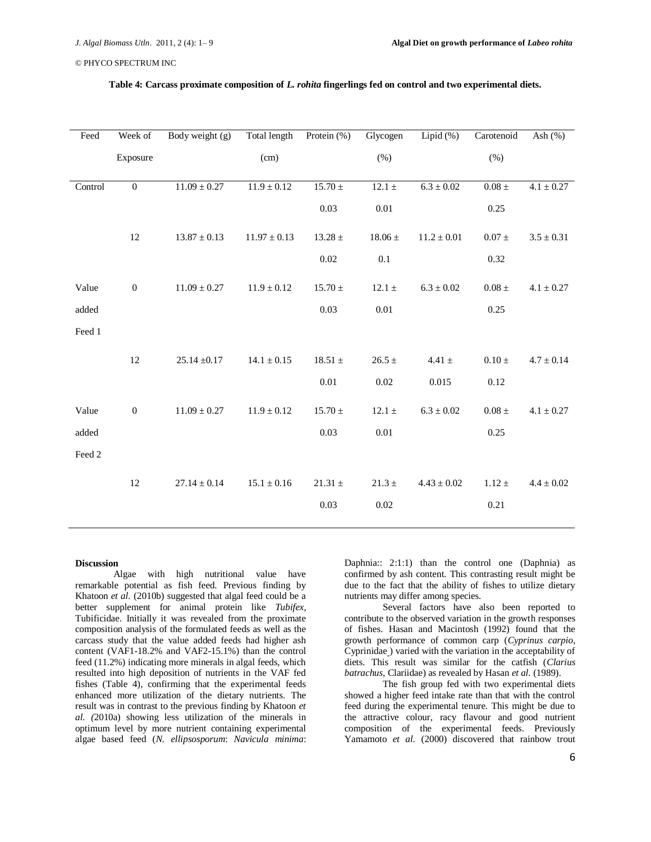| Feed    | Week of          | Body weight (g)  | Total length Protein (%) |                | Glycogen       | Lipid $(\%)$    | Carotenoid | Ash $(%)$      |
|---------|------------------|------------------|--------------------------|----------------|----------------|-----------------|------------|----------------|
|         | Exposure         |                  | (cm)                     |                | (% )           |                 | (%)        |                |
|         |                  |                  |                          |                |                |                 |            |                |
| Control | $\boldsymbol{0}$ | $11.09 \pm 0.27$ | $11.9 \pm 0.12$          | $15.70 \pm$    | $12.1 \pm$     | $6.3 \pm 0.02$  | $0.08 \pm$ | $4.1 \pm 0.27$ |
|         |                  |                  |                          | 0.03           | $0.01\,$       |                 | 0.25       |                |
|         | 12               | $13.87 \pm 0.13$ | $11.97 \pm 0.13$         | $13.28\,\pm\,$ | $18.06\,\pm\,$ | $11.2\pm0.01$   | $0.07 \pm$ | $3.5 \pm 0.31$ |
|         |                  |                  |                          | $0.02\,$       | 0.1            |                 | 0.32       |                |
| Value   | $\boldsymbol{0}$ | $11.09 \pm 0.27$ | $11.9 \pm 0.12$          | $15.70 \pm$    | 12.1 $\pm$     | $6.3\pm0.02$    | $0.08 \pm$ | $4.1 \pm 0.27$ |
| added   |                  |                  |                          | 0.03           | $0.01\,$       |                 | 0.25       |                |
| Feed 1  |                  |                  |                          |                |                |                 |            |                |
|         | 12               | $25.14 \pm 0.17$ | $14.1 \pm 0.15$          | $18.51\pm$     | $26.5 \pm$     | 4.41 $\pm$      | $0.10 \pm$ | $4.7 \pm 0.14$ |
|         |                  |                  |                          | $0.01\,$       | 0.02           | 0.015           | 0.12       |                |
| Value   | $\boldsymbol{0}$ | $11.09 \pm 0.27$ | $11.9 \pm 0.12$          | $15.70\,\pm$   | 12.1 $\pm$     | $6.3 \pm 0.02$  | $0.08 \pm$ | $4.1\pm0.27$   |
| added   |                  |                  |                          | 0.03           | $0.01\,$       |                 | 0.25       |                |
| Feed 2  |                  |                  |                          |                |                |                 |            |                |
|         | 12               | $27.14 \pm 0.14$ | $15.1 \pm 0.16$          | $21.31 \pm$    | $21.3 \pm$     | $4.43 \pm 0.02$ | $1.12 \pm$ | $4.4 \pm 0.02$ |
|         |                  |                  |                          | 0.03           | 0.02           |                 | 0.21       |                |
|         |                  |                  |                          |                |                |                 |            |                |

# **Table 4: Carcass proximate composition of** *L. rohita* **fingerlings fed on control and two experimental diets.**

### **Discussion**

Algae with high nutritional value have remarkable potential as fish feed. Previous finding by Khatoon *et al.* (2010b) suggested that algal feed could be a better supplement for animal protein like *Tubifex*, Tubificidae. Initially it was revealed from the proximate composition analysis of the formulated feeds as well as the carcass study that the value added feeds had higher ash content (VAF1-18.2% and VAF2-15.1%) than the control feed (11.2%) indicating more minerals in algal feeds, which resulted into high deposition of nutrients in the VAF fed fishes (Table 4), confirming that the experimental feeds enhanced more utilization of the dietary nutrients. The result was in contrast to the previous finding by Khatoon *et al. (*2010a) showing less utilization of the minerals in optimum level by more nutrient containing experimental algae based feed (*N. ellipsosporum*: *Navicula minima*:

Daphnia:: 2:1:1) than the control one (Daphnia) as confirmed by ash content. This contrasting result might be due to the fact that the ability of fishes to utilize dietary nutrients may differ among species.

Several factors have also been reported to contribute to the observed variation in the growth responses of fishes. Hasan and Macintosh (1992) found that the growth performance of common carp (*Cyprinus carpio*, Cyprinidae ) varied with the variation in the acceptability of diets. This result was similar for the catfish (*Clarius batrachus*, Clariidae) as revealed by Hasan *et al.* (1989).

The fish group fed with two experimental diets showed a higher feed intake rate than that with the control feed during the experimental tenure. This might be due to the attractive colour, racy flavour and good nutrient composition of the experimental feeds. Previously Yamamoto *et al.* (2000) discovered that rainbow trout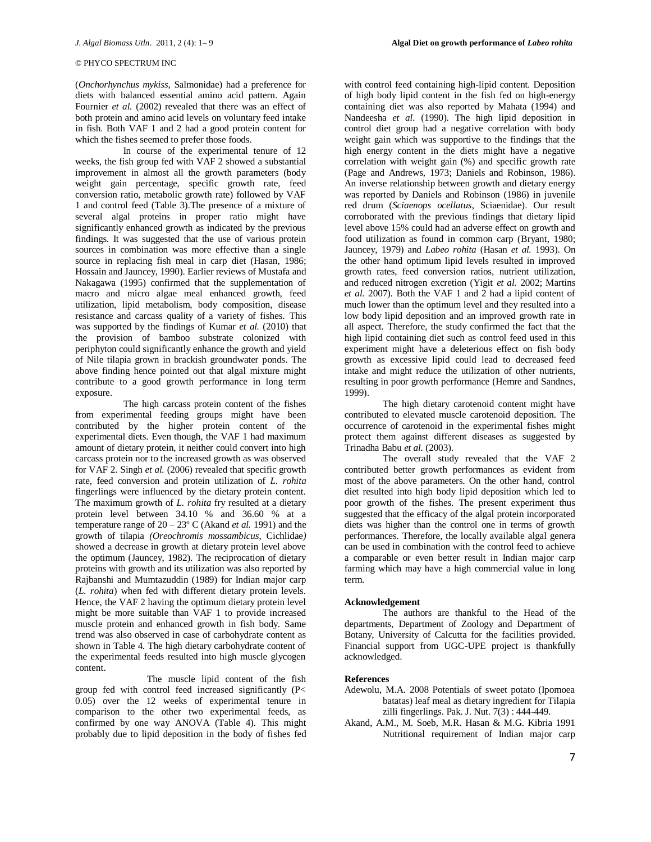(*Onchorhynchus mykiss*, Salmonidae) had a preference for diets with balanced essential amino acid pattern. Again Fournier *et al.* (2002) revealed that there was an effect of both protein and amino acid levels on voluntary feed intake in fish. Both VAF 1 and 2 had a good protein content for which the fishes seemed to prefer those foods.

In course of the experimental tenure of 12 weeks, the fish group fed with VAF 2 showed a substantial improvement in almost all the growth parameters (body weight gain percentage, specific growth rate, feed conversion ratio, metabolic growth rate) followed by VAF 1 and control feed (Table 3).The presence of a mixture of several algal proteins in proper ratio might have significantly enhanced growth as indicated by the previous findings. It was suggested that the use of various protein sources in combination was more effective than a single source in replacing fish meal in carp diet (Hasan, 1986; Hossain and Jauncey, 1990). Earlier reviews of Mustafa and Nakagawa (1995) confirmed that the supplementation of macro and micro algae meal enhanced growth, feed utilization, lipid metabolism, body composition, disease resistance and carcass quality of a variety of fishes. This was supported by the findings of Kumar *et al.* (2010) that the provision of bamboo substrate colonized with periphyton could significantly enhance the growth and yield of Nile tilapia grown in brackish groundwater ponds. The above finding hence pointed out that algal mixture might contribute to a good growth performance in long term exposure.

The high carcass protein content of the fishes from experimental feeding groups might have been contributed by the higher protein content of the experimental diets. Even though, the VAF 1 had maximum amount of dietary protein, it neither could convert into high carcass protein nor to the increased growth as was observed for VAF 2. Singh *et al.* (2006) revealed that specific growth rate, feed conversion and protein utilization of *L. rohita* fingerlings were influenced by the dietary protein content. The maximum growth of *L. rohita* fry resulted at a dietary protein level between 34.10 % and 36.60 % at a temperature range of 20 – 23º C (Akand *et al.* 1991) and the growth of tilapia *(Oreochromis mossambicus*, Cichlidae*)* showed a decrease in growth at dietary protein level above the optimum (Jauncey, 1982). The reciprocation of dietary proteins with growth and its utilization was also reported by Rajbanshi and Mumtazuddin (1989) for Indian major carp (*L. rohita*) when fed with different dietary protein levels. Hence, the VAF 2 having the optimum dietary protein level might be more suitable than VAF 1 to provide increased muscle protein and enhanced growth in fish body. Same trend was also observed in case of carbohydrate content as shown in Table 4. The high dietary carbohydrate content of the experimental feeds resulted into high muscle glycogen content.

The muscle lipid content of the fish group fed with control feed increased significantly (P< 0.05) over the 12 weeks of experimental tenure in comparison to the other two experimental feeds, as confirmed by one way ANOVA (Table 4). This might probably due to lipid deposition in the body of fishes fed

with control feed containing high-lipid content. Deposition of high body lipid content in the fish fed on high-energy containing diet was also reported by Mahata (1994) and Nandeesha *et al.* (1990). The high lipid deposition in control diet group had a negative correlation with body weight gain which was supportive to the findings that the high energy content in the diets might have a negative correlation with weight gain (%) and specific growth rate (Page and Andrews, 1973; Daniels and Robinson, 1986). An inverse relationship between growth and dietary energy was reported by Daniels and Robinson (1986) in juvenile red drum (*Sciaenops ocellatus*, Sciaenidae). Our result corroborated with the previous findings that dietary lipid level above 15% could had an adverse effect on growth and food utilization as found in common carp (Bryant, 1980; Jauncey, 1979) and *Labeo rohita* (Hasan *et al.* 1993). On the other hand optimum lipid levels resulted in improved growth rates, feed conversion ratios, nutrient utilization, and reduced nitrogen excretion (Yigit *et al.* 2002; Martins *et al.* 2007). Both the VAF 1 and 2 had a lipid content of much lower than the optimum level and they resulted into a low body lipid deposition and an improved growth rate in all aspect. Therefore, the study confirmed the fact that the high lipid containing diet such as control feed used in this experiment might have a deleterious effect on fish body growth as excessive lipid could lead to decreased feed intake and might reduce the utilization of other nutrients, resulting in poor growth performance (Hemre and Sandnes, 1999).

The high dietary carotenoid content might have contributed to elevated muscle carotenoid deposition. The occurrence of carotenoid in the experimental fishes might protect them against different diseases as suggested by Trinadha Babu *et al.* (2003).

The overall study revealed that the VAF 2 contributed better growth performances as evident from most of the above parameters. On the other hand, control diet resulted into high body lipid deposition which led to poor growth of the fishes. The present experiment thus suggested that the efficacy of the algal protein incorporated diets was higher than the control one in terms of growth performances. Therefore, the locally available algal genera can be used in combination with the control feed to achieve a comparable or even better result in Indian major carp farming which may have a high commercial value in long term.

### **Acknowledgement**

The authors are thankful to the Head of the departments, Department of Zoology and Department of Botany, University of Calcutta for the facilities provided. Financial support from UGC-UPE project is thankfully acknowledged.

### **References**

- Adewolu, M.A. 2008 Potentials of sweet potato (Ipomoea batatas) leaf meal as dietary ingredient for Tilapia zilli fingerlings. Pak. J. Nut. 7(3) : 444-449.
- Akand, A.M., M. Soeb, M.R. Hasan & M.G. Kibria 1991 Nutritional requirement of Indian major carp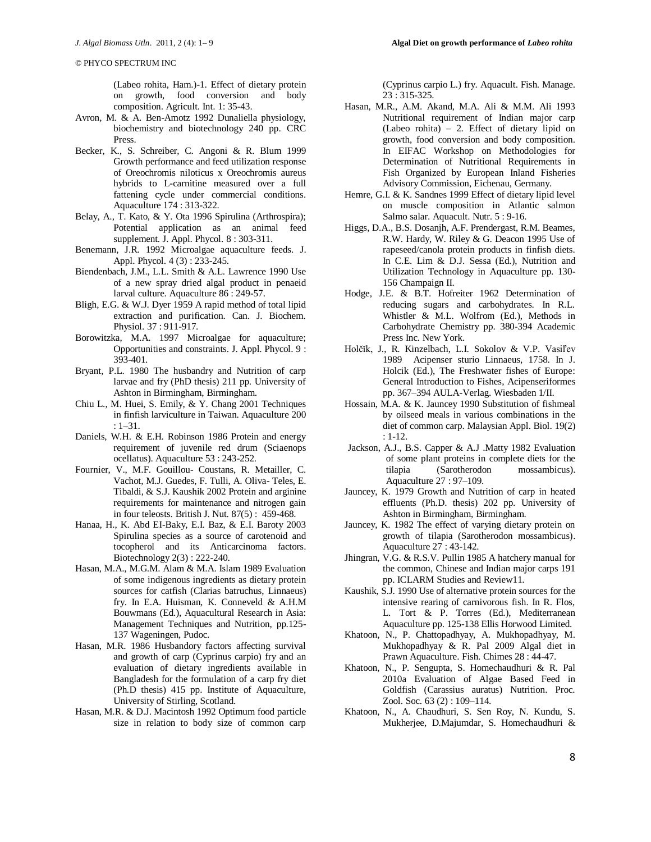(Labeo rohita, Ham.)-1. Effect of dietary protein on growth, food conversion and body composition. Agricult. Int. 1: 35-43.

- Avron, M. & A. Ben-Amotz 1992 Dunaliella physiology, biochemistry and biotechnology 240 pp. CRC Press.
- Becker, K., S. Schreiber, C. Angoni & R. Blum 1999 Growth performance and feed utilization response of Oreochromis niloticus x Oreochromis aureus hybrids to L-carnitine measured over a full fattening cycle under commercial conditions. Aquaculture 174 : 313-322.
- Belay, A., T. Kato, & Y. Ota 1996 Spirulina (Arthrospira); Potential application as an animal feed supplement. J. Appl. Phycol. 8 : 303-311.
- Benemann, J.R. 1992 Microalgae aquaculture feeds. J. Appl. Phycol. 4 (3) : 233-245.
- Biendenbach, J.M., L.L. Smith & A.L. Lawrence 1990 Use of a new spray dried algal product in penaeid larval culture. Aquaculture 86 : 249-57.
- Bligh, E.G. & W.J. Dyer 1959 A rapid method of total lipid extraction and purification. Can. J. Biochem. Physiol. 37 : 911-917.
- Borowitzka, M.A. 1997 Microalgae for aquaculture; Opportunities and constraints. J. Appl. Phycol. 9 : 393-401.
- Bryant, P.L. 1980 The husbandry and Nutrition of carp larvae and fry (PhD thesis) 211 pp. University of Ashton in Birmingham, Birmingham.
- Chiu L., M. Huei, S. Emily, & Y. Chang 2001 Techniques in finfish larviculture in Taiwan. Aquaculture 200 : 1–31.
- Daniels, W.H. & E.H. Robinson 1986 Protein and energy requirement of juvenile red drum (Sciaenops ocellatus). Aquaculture 53 : 243-252.
- Fournier, V., M.F. Gouillou- Coustans, R. Metailler, C. Vachot, M.J. Guedes, F. Tulli, A. Oliva- Teles, E. Tibaldi, & S.J. Kaushik 2002 Protein and arginine requirements for maintenance and nitrogen gain in four teleosts. British J. Nut. 87(5) : 459-468.
- Hanaa, H., K. Abd EI-Baky, E.I. Baz, & E.I. Baroty 2003 Spirulina species as a source of carotenoid and tocopherol and its Anticarcinoma factors. Biotechnology 2(3) : 222-240.
- Hasan, M.A., M.G.M. Alam & M.A. Islam 1989 Evaluation of some indigenous ingredients as dietary protein sources for catfish (Clarias batruchus, Linnaeus) fry. In E.A. Huisman, K. Conneveld & A.H.M Bouwmans (Ed.), Aquacultural Research in Asia: Management Techniques and Nutrition, pp.125- 137 Wageningen, Pudoc.
- Hasan, M.R. 1986 Husbandory factors affecting survival and growth of carp (Cyprinus carpio) fry and an evaluation of dietary ingredients available in Bangladesh for the formulation of a carp fry diet (Ph.D thesis) 415 pp. Institute of Aquaculture, University of Stirling, Scotland.
- Hasan, M.R. & D.J. Macintosh 1992 Optimum food particle size in relation to body size of common carp

(Cyprinus carpio L.) fry. Aquacult. Fish. Manage. 23 : 315-325.

- Hasan, M.R., A.M. Akand, M.A. Ali & M.M. Ali 1993 Nutritional requirement of Indian major carp (Labeo rohita) – 2. Effect of dietary lipid on growth, food conversion and body composition. In EIFAC Workshop on Methodologies for Determination of Nutritional Requirements in Fish Organized by European Inland Fisheries Advisory Commission, Eichenau, Germany.
- Hemre, G.I. & K. Sandnes 1999 Effect of dietary lipid level on muscle composition in Atlantic salmon Salmo salar. Aquacult. Nutr. 5 : 9-16.
- Higgs, D.A., B.S. Dosanjh, A.F. Prendergast, R.M. Beames, R.W. Hardy, W. Riley & G. Deacon 1995 Use of rapeseed/canola protein products in finfish diets. In C.E. Lim & D.J. Sessa (Ed.), Nutrition and Utilization Technology in Aquaculture pp. 130- 156 Champaign II.
- Hodge, J.E. & B.T. Hofreiter 1962 Determination of reducing sugars and carbohydrates. In R.L. Whistler & M.L. Wolfrom (Ed.), Methods in Carbohydrate Chemistry pp. 380-394 Academic Press Inc. New York.
- Holčĭk, J., R. Kinzelbach, L.I. Sokolov & V.P. Vasiľev 1989 Acipenser sturio Linnaeus, 1758. In J. Holcik (Ed.), The Freshwater fishes of Europe: General Introduction to Fishes, Acipenseriformes pp. 367–394 AULA-Verlag. Wiesbaden 1/II.
- Hossain, M.A. & K. Jauncey 1990 Substitution of fishmeal by oilseed meals in various combinations in the diet of common carp. Malaysian Appl. Biol. 19(2) : 1-12.
- Jackson, A.J., B.S. Capper & A.J .Matty 1982 Evaluation of some plant proteins in complete diets for the tilapia (Sarotherodon mossambicus). Aquaculture 27 : 97–109.
- Jauncey, K. 1979 Growth and Nutrition of carp in heated effluents (Ph.D. thesis) 202 pp. University of Ashton in Birmingham, Birmingham.
- Jauncey, K. 1982 The effect of varying dietary protein on growth of tilapia (Sarotherodon mossambicus). Aquaculture 27 : 43-142.
- Jhingran, V.G. & R.S.V. Pullin 1985 A hatchery manual for the common, Chinese and Indian major carps 191 pp. ICLARM Studies and Review11.
- Kaushik, S.J. 1990 Use of alternative protein sources for the intensive rearing of carnivorous fish. In R. Flos, L. Tort & P. Torres (Ed.), Mediterranean Aquaculture pp. 125-138 Ellis Horwood Limited.
- Khatoon, N., P. Chattopadhyay, A. Mukhopadhyay, M. Mukhopadhyay & R. Pal 2009 Algal diet in Prawn Aquaculture. Fish. Chimes 28 : 44-47.
- Khatoon, N., P. Sengupta, S. Homechaudhuri & R. Pal 2010a Evaluation of Algae Based Feed in Goldfish (Carassius auratus) Nutrition. Proc. Zool. Soc. 63 (2) : 109–114.
- Khatoon, N., A. Chaudhuri, S. Sen Roy, N. Kundu, S. Mukherjee, D.Majumdar, S. Homechaudhuri &